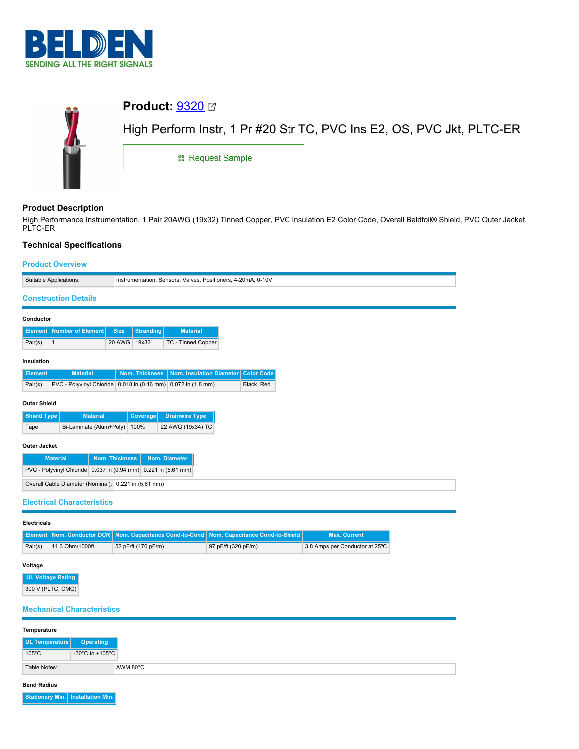

| û. | <b>Product: 9320</b> ⊠  |                                                                       |
|----|-------------------------|-----------------------------------------------------------------------|
|    |                         | High Perform Instr, 1 Pr #20 Str TC, PVC Ins E2, OS, PVC Jkt, PLTC-ER |
|    | <b>: Request Sample</b> |                                                                       |
|    |                         |                                                                       |

# **Product Description**

High Performance Instrumentation, 1 Pair 20AWG (19x32) Tinned Copper, PVC Insulation E2 Color Code, Overall Beldfoil® Shield, PVC Outer Jacket, PLTC-ER

## **Technical Specifications**

|                     | Suitable Applications:                                         |                                   |                       | Instrumentation, Sensors, Valves, Positioners, 4-20mA, 0-10V |  |                   |
|---------------------|----------------------------------------------------------------|-----------------------------------|-----------------------|--------------------------------------------------------------|--|-------------------|
|                     | <b>Construction Details</b>                                    |                                   |                       |                                                              |  |                   |
| Conductor           |                                                                |                                   |                       |                                                              |  |                   |
|                     | <b>Element</b> Number of Element                               | <b>Size</b>                       | <b>Stranding</b>      | <b>Material</b>                                              |  |                   |
| Pair(s)             | $\mathbf{1}$                                                   | 20 AWG 19x32                      |                       | TC - Tinned Copper                                           |  |                   |
| Insulation          |                                                                |                                   |                       |                                                              |  |                   |
| <b>Element</b>      | <b>Material</b>                                                |                                   | <b>Nom. Thickness</b> | Nom. Insulation Diameter                                     |  | <b>Color Code</b> |
| Pair(s)             | PVC - Polyvinyl Chloride 0.018 in (0.46 mm) 0.072 in (1.8 mm)  |                                   |                       |                                                              |  | Black, Red        |
| <b>Outer Shield</b> |                                                                |                                   |                       |                                                              |  |                   |
| <b>Shield Type</b>  | <b>Material</b>                                                |                                   | Coverage              | <b>Drainwire Type</b>                                        |  |                   |
| Tape                | Bi-Laminate (Alum+Poly)                                        |                                   | 100%                  | 22 AWG (19x34) TC                                            |  |                   |
| <b>Outer Jacket</b> |                                                                |                                   |                       |                                                              |  |                   |
|                     | <b>Material</b>                                                | Nom. Thickness                    |                       | Nom. Diameter                                                |  |                   |
|                     | PVC - Polyvinyl Chloride 0.037 in (0.94 mm) 0.221 in (5.61 mm) |                                   |                       |                                                              |  |                   |
|                     | Overall Cable Diameter (Nominal): 0.221 in (5.61 mm)           |                                   |                       |                                                              |  |                   |
|                     |                                                                | <b>Electrical Characteristics</b> |                       |                                                              |  |                   |

|         |                 |                     | Element Nom. Conductor DCR Nom. Capacitance Cond-to-Cond Nom. Capacitance Cond-to-Shield | <b>Max. Current</b>            |
|---------|-----------------|---------------------|------------------------------------------------------------------------------------------|--------------------------------|
| Pair(s) | 11.3 Ohm/1000ft | 52 pF/ft (170 pF/m) | 97 pF/ft (320 pF/m)                                                                      | 3.8 Amps per Conductor at 25°C |

# **Voltage**

**UL Voltage Rating** 300 V (PLTC, CMG)

## **Mechanical Characteristics**

| Temperature              |                  |
|--------------------------|------------------|
| UL Temperature           | <b>Operating</b> |
| $105^{\circ}$ C          | -30°C to +105°C  |
| AWM 80°C<br>Table Notes: |                  |

**Bend Radius**

**Stationary Min. Installation Min.**